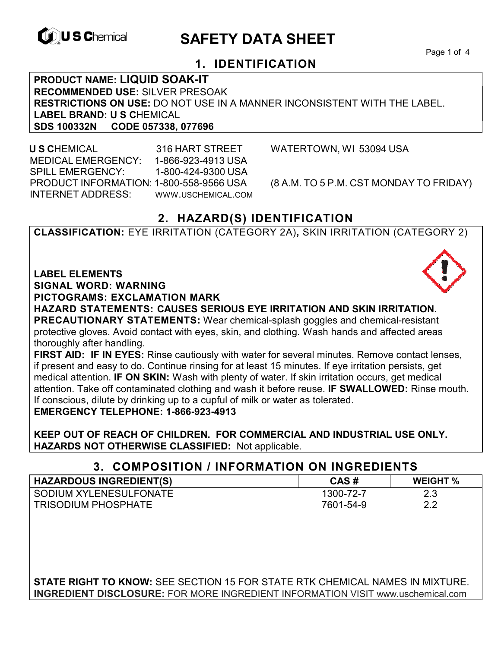

# **EXAGREM** SAFETY DATA SHEET

Page 1 of 4

## **1. IDENTIFICATION**

**PRODUCT NAME: LIQUID SOAK-IT RECOMMENDED USE:** SILVER PRESOAK **RESTRICTIONS ON USE:** DO NOT USE IN A MANNER INCONSISTENT WITH THE LABEL. **LABEL BRAND: U S C**HEMICAL **SDS 100332N CODE 057338, 077696** 

 **U S C**HEMICAL 316 HART STREET WATERTOWN, WI 53094 USA MEDICAL EMERGENCY: 1-866-923-4913 USA SPILL EMERGENCY: 1-800-424-9300 USA PRODUCT INFORMATION: 1-800-558-9566 USA (8 A.M. TO 5 P.M. CST MONDAY TO FRIDAY) INTERNET ADDRESS: WWW.USCHEMICAL.COM

## **2. HAZARD(S) IDENTIFICATION**

**CLASSIFICATION:** EYE IRRITATION (CATEGORY 2A)**,** SKIN IRRITATION (CATEGORY 2)

**LABEL ELEMENTS** 

**SIGNAL WORD: WARNING**

**PICTOGRAMS: EXCLAMATION MARK**

**HAZARD STATEMENTS: CAUSES SERIOUS EYE IRRITATION AND SKIN IRRITATION. PRECAUTIONARY STATEMENTS:** Wear chemical-splash goggles and chemical-resistant protective gloves. Avoid contact with eyes, skin, and clothing. Wash hands and affected areas thoroughly after handling.

**FIRST AID: IF IN EYES:** Rinse cautiously with water for several minutes. Remove contact lenses, if present and easy to do. Continue rinsing for at least 15 minutes. If eye irritation persists, get medical attention. **IF ON SKIN:** Wash with plenty of water. If skin irritation occurs, get medical attention. Take off contaminated clothing and wash it before reuse. **IF SWALLOWED:** Rinse mouth. If conscious, dilute by drinking up to a cupful of milk or water as tolerated. **EMERGENCY TELEPHONE: 1-866-923-4913** 

**KEEP OUT OF REACH OF CHILDREN. FOR COMMERCIAL AND INDUSTRIAL USE ONLY. HAZARDS NOT OTHERWISE CLASSIFIED:** Not applicable.

### **3. COMPOSITION / INFORMATION ON INGREDIENTS**

| <b>HAZARDOUS INGREDIENT(S)</b> | CAS#      | <b>WEIGHT %</b> |
|--------------------------------|-----------|-----------------|
| I SODIUM XYLENESULFONATE       | 1300-72-7 | 2.3             |
| <b>TRISODIUM PHOSPHATE</b>     | 7601-54-9 | 2.2             |

**STATE RIGHT TO KNOW:** SEE SECTION 15 FOR STATE RTK CHEMICAL NAMES IN MIXTURE. **INGREDIENT DISCLOSURE:** FOR MORE INGREDIENT INFORMATION VISIT www.uschemical.com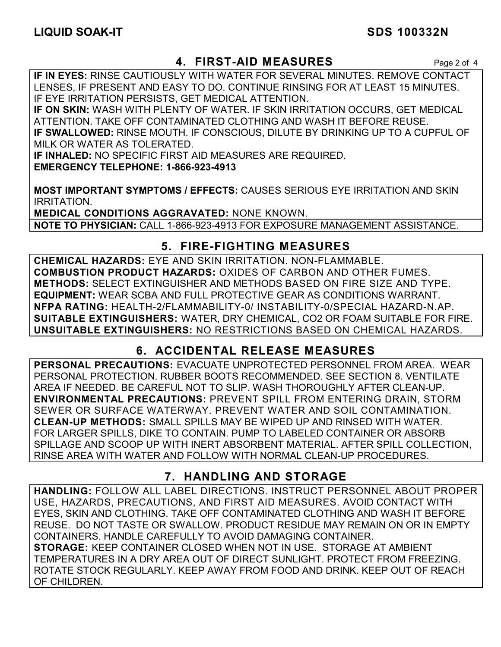### **4. FIRST-AID MEASURES** Page 2 of 4

**IF IN EYES:** RINSE CAUTIOUSLY WITH WATER FOR SEVERAL MINUTES. REMOVE CONTACT LENSES, IF PRESENT AND EASY TO DO. CONTINUE RINSING FOR AT LEAST 15 MINUTES. IF EYE IRRITATION PERSISTS, GET MEDICAL ATTENTION.

**IF ON SKIN:** WASH WITH PLENTY OF WATER. IF SKIN IRRITATION OCCURS, GET MEDICAL ATTENTION. TAKE OFF CONTAMINATED CLOTHING AND WASH IT BEFORE REUSE. **IF SWALLOWED:** RINSE MOUTH. IF CONSCIOUS, DILUTE BY DRINKING UP TO A CUPFUL OF MILK OR WATER AS TOLERATED.

**IF INHALED:** NO SPECIFIC FIRST AID MEASURES ARE REQUIRED. **EMERGENCY TELEPHONE: 1-866-923-4913** 

**MOST IMPORTANT SYMPTOMS / EFFECTS:** CAUSES SERIOUS EYE IRRITATION AND SKIN IRRITATION.

**MEDICAL CONDITIONS AGGRAVATED:** NONE KNOWN. **NOTE TO PHYSICIAN:** CALL 1-866-923-4913 FOR EXPOSURE MANAGEMENT ASSISTANCE.

## **5. FIRE-FIGHTING MEASURES**

**CHEMICAL HAZARDS:** EYE AND SKIN IRRITATION. NON-FLAMMABLE. **COMBUSTION PRODUCT HAZARDS:** OXIDES OF CARBON AND OTHER FUMES. **METHODS:** SELECT EXTINGUISHER AND METHODS BASED ON FIRE SIZE AND TYPE. **EQUIPMENT:** WEAR SCBA AND FULL PROTECTIVE GEAR AS CONDITIONS WARRANT. **NFPA RATING:** HEALTH-2/FLAMMABILITY-0/ INSTABILITY-0/SPECIAL HAZARD-N.AP. **SUITABLE EXTINGUISHERS:** WATER, DRY CHEMICAL, CO2 OR FOAM SUITABLE FOR FIRE. **UNSUITABLE EXTINGUISHERS:** NO RESTRICTIONS BASED ON CHEMICAL HAZARDS.

## **6. ACCIDENTAL RELEASE MEASURES**

**PERSONAL PRECAUTIONS:** EVACUATE UNPROTECTED PERSONNEL FROM AREA. WEAR PERSONAL PROTECTION. RUBBER BOOTS RECOMMENDED. SEE SECTION 8. VENTILATE AREA IF NEEDED. BE CAREFUL NOT TO SLIP. WASH THOROUGHLY AFTER CLEAN-UP. **ENVIRONMENTAL PRECAUTIONS:** PREVENT SPILL FROM ENTERING DRAIN, STORM SEWER OR SURFACE WATERWAY. PREVENT WATER AND SOIL CONTAMINATION. **CLEAN-UP METHODS:** SMALL SPILLS MAY BE WIPED UP AND RINSED WITH WATER. FOR LARGER SPILLS, DIKE TO CONTAIN. PUMP TO LABELED CONTAINER OR ABSORB SPILLAGE AND SCOOP UP WITH INERT ABSORBENT MATERIAL. AFTER SPILL COLLECTION, RINSE AREA WITH WATER AND FOLLOW WITH NORMAL CLEAN-UP PROCEDURES.

## **7. HANDLING AND STORAGE**

**HANDLING:** FOLLOW ALL LABEL DIRECTIONS. INSTRUCT PERSONNEL ABOUT PROPER USE, HAZARDS, PRECAUTIONS, AND FIRST AID MEASURES. AVOID CONTACT WITH EYES, SKIN AND CLOTHING. TAKE OFF CONTAMINATED CLOTHING AND WASH IT BEFORE REUSE. DO NOT TASTE OR SWALLOW. PRODUCT RESIDUE MAY REMAIN ON OR IN EMPTY CONTAINERS. HANDLE CAREFULLY TO AVOID DAMAGING CONTAINER. **STORAGE:** KEEP CONTAINER CLOSED WHEN NOT IN USE. STORAGE AT AMBIENT TEMPERATURES IN A DRY AREA OUT OF DIRECT SUNLIGHT. PROTECT FROM FREEZING. ROTATE STOCK REGULARLY. KEEP AWAY FROM FOOD AND DRINK. KEEP OUT OF REACH OF CHILDREN.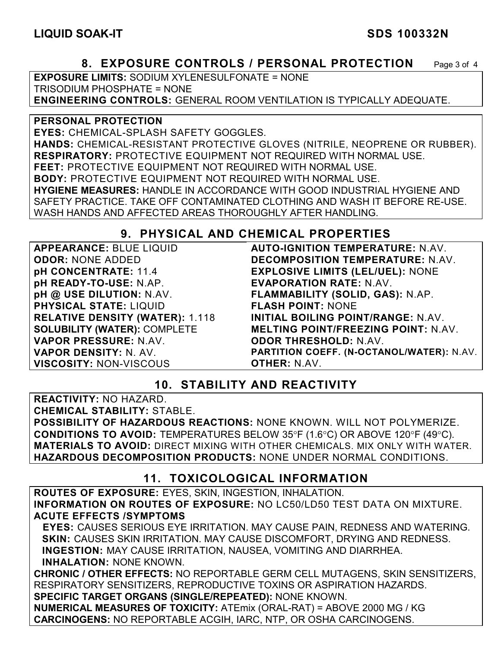### **8. EXPOSURE CONTROLS / PERSONAL PROTECTION** Page 3 of 4

**EXPOSURE LIMITS:** SODIUM XYLENESULFONATE = NONE TRISODIUM PHOSPHATE = NONE **ENGINEERING CONTROLS:** GENERAL ROOM VENTILATION IS TYPICALLY ADEQUATE.

**PERSONAL PROTECTION EYES:** CHEMICAL-SPLASH SAFETY GOGGLES. **HANDS:** CHEMICAL-RESISTANT PROTECTIVE GLOVES (NITRILE, NEOPRENE OR RUBBER). **RESPIRATORY:** PROTECTIVE EQUIPMENT NOT REQUIRED WITH NORMAL USE. **FEET:** PROTECTIVE EQUIPMENT NOT REQUIRED WITH NORMAL USE. **BODY:** PROTECTIVE EQUIPMENT NOT REQUIRED WITH NORMAL USE. **HYGIENE MEASURES:** HANDLE IN ACCORDANCE WITH GOOD INDUSTRIAL HYGIENE AND SAFETY PRACTICE. TAKE OFF CONTAMINATED CLOTHING AND WASH IT BEFORE RE-USE. WASH HANDS AND AFFECTED AREAS THOROUGHLY AFTER HANDLING.

#### **9. PHYSICAL AND CHEMICAL PROPERTIES**

**APPEARANCE:** BLUE LIQUID **ODOR:** NONE ADDED **pH CONCENTRATE:** 11.4 **pH READY-TO-USE:** N.AP. **pH @ USE DILUTION:** N.AV. **PHYSICAL STATE:** LIQUID **RELATIVE DENSITY (WATER):** 1.118 **SOLUBILITY (WATER):** COMPLETE **VAPOR PRESSURE:** N.AV. **VAPOR DENSITY:** N. AV. **VISCOSITY:** NON-VISCOUS

**AUTO-IGNITION TEMPERATURE:** N.AV. **DECOMPOSITION TEMPERATURE:** N.AV. **EXPLOSIVE LIMITS (LEL/UEL):** NONE **EVAPORATION RATE:** N.AV. **FLAMMABILITY (SOLID, GAS):** N.AP. **FLASH POINT:** NONE **INITIAL BOILING POINT/RANGE:** N.AV. **MELTING POINT/FREEZING POINT:** N.AV. **ODOR THRESHOLD:** N.AV. **PARTITION COEFF. (N-OCTANOL/WATER):** N.AV. **OTHER:** N.AV.

### **10. STABILITY AND REACTIVITY**

**REACTIVITY:** NO HAZARD. **CHEMICAL STABILITY:** STABLE. **POSSIBILITY OF HAZARDOUS REACTIONS:** NONE KNOWN. WILL NOT POLYMERIZE. **CONDITIONS TO AVOID:** TEMPERATURES BELOW 35°F (1.6°C) OR ABOVE 120°F (49°C). **MATERIALS TO AVOID:** DIRECT MIXING WITH OTHER CHEMICALS. MIX ONLY WITH WATER. **HAZARDOUS DECOMPOSITION PRODUCTS:** NONE UNDER NORMAL CONDITIONS.

### **11. TOXICOLOGICAL INFORMATION**

**ROUTES OF EXPOSURE:** EYES, SKIN, INGESTION, INHALATION. **INFORMATION ON ROUTES OF EXPOSURE:** NO LC50/LD50 TEST DATA ON MIXTURE. **ACUTE EFFECTS /SYMPTOMS** 

 **EYES:** CAUSES SERIOUS EYE IRRITATION. MAY CAUSE PAIN, REDNESS AND WATERING. **SKIN:** CAUSES SKIN IRRITATION. MAY CAUSE DISCOMFORT, DRYING AND REDNESS. **INGESTION:** MAY CAUSE IRRITATION, NAUSEA, VOMITING AND DIARRHEA. **INHALATION:** NONE KNOWN.

**CHRONIC / OTHER EFFECTS:** NO REPORTABLE GERM CELL MUTAGENS, SKIN SENSITIZERS, RESPIRATORY SENSITIZERS, REPRODUCTIVE TOXINS OR ASPIRATION HAZARDS. **SPECIFIC TARGET ORGANS (SINGLE/REPEATED):** NONE KNOWN.

**NUMERICAL MEASURES OF TOXICITY:** ATEmix (ORAL-RAT) = ABOVE 2000 MG / KG **CARCINOGENS:** NO REPORTABLE ACGIH, IARC, NTP, OR OSHA CARCINOGENS.